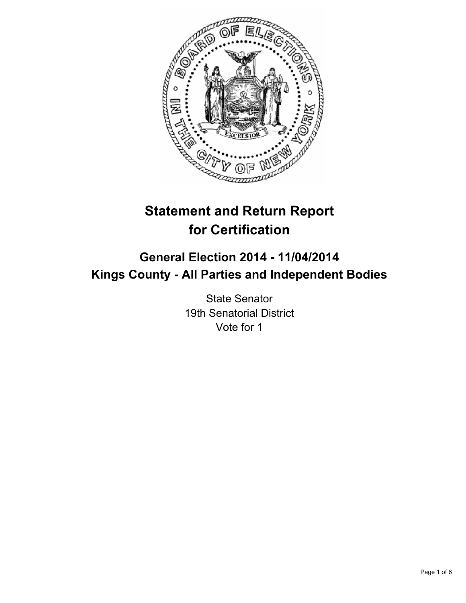

# **Statement and Return Report for Certification**

# **General Election 2014 - 11/04/2014 Kings County - All Parties and Independent Bodies**

State Senator 19th Senatorial District Vote for 1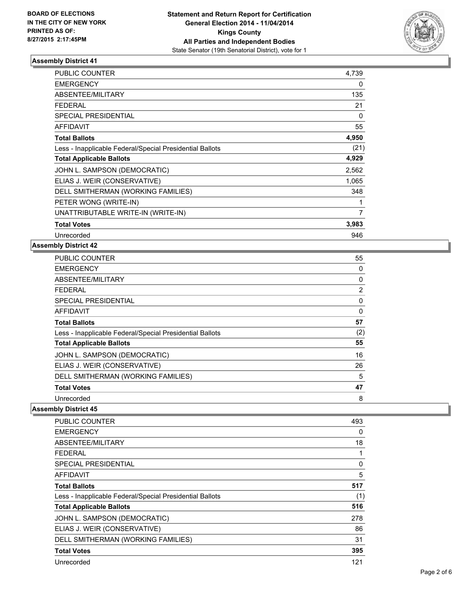

| <b>PUBLIC COUNTER</b>                                    | 4,739 |
|----------------------------------------------------------|-------|
| <b>EMERGENCY</b>                                         | 0     |
| <b>ABSENTEE/MILITARY</b>                                 | 135   |
| <b>FEDERAL</b>                                           | 21    |
| <b>SPECIAL PRESIDENTIAL</b>                              | 0     |
| <b>AFFIDAVIT</b>                                         | 55    |
| <b>Total Ballots</b>                                     | 4,950 |
| Less - Inapplicable Federal/Special Presidential Ballots | (21)  |
| <b>Total Applicable Ballots</b>                          | 4,929 |
| JOHN L. SAMPSON (DEMOCRATIC)                             | 2,562 |
| ELIAS J. WEIR (CONSERVATIVE)                             | 1,065 |
| DELL SMITHERMAN (WORKING FAMILIES)                       | 348   |
| PETER WONG (WRITE-IN)                                    | 1     |
| UNATTRIBUTABLE WRITE-IN (WRITE-IN)                       | 7     |
| <b>Total Votes</b>                                       | 3,983 |
| Unrecorded                                               | 946   |

# **Assembly District 42**

| <b>PUBLIC COUNTER</b>                                    | 55       |
|----------------------------------------------------------|----------|
| <b>EMERGENCY</b>                                         | 0        |
| ABSENTEE/MILITARY                                        | 0        |
| <b>FEDERAL</b>                                           | 2        |
| SPECIAL PRESIDENTIAL                                     | 0        |
| AFFIDAVIT                                                | $\Omega$ |
| <b>Total Ballots</b>                                     | 57       |
| Less - Inapplicable Federal/Special Presidential Ballots | (2)      |
| <b>Total Applicable Ballots</b>                          | 55       |
| JOHN L. SAMPSON (DEMOCRATIC)                             | 16       |
| ELIAS J. WEIR (CONSERVATIVE)                             | 26       |
| DELL SMITHERMAN (WORKING FAMILIES)                       | 5        |
| <b>Total Votes</b>                                       | 47       |
| Unrecorded                                               | 8        |

| <b>PUBLIC COUNTER</b>                                    | 493      |
|----------------------------------------------------------|----------|
| <b>EMERGENCY</b>                                         | 0        |
| ABSENTEE/MILITARY                                        | 18       |
| <b>FEDERAL</b>                                           |          |
| SPECIAL PRESIDENTIAL                                     | $\Omega$ |
| <b>AFFIDAVIT</b>                                         | 5        |
| <b>Total Ballots</b>                                     | 517      |
| Less - Inapplicable Federal/Special Presidential Ballots | (1)      |
| <b>Total Applicable Ballots</b>                          | 516      |
| JOHN L. SAMPSON (DEMOCRATIC)                             | 278      |
| ELIAS J. WEIR (CONSERVATIVE)                             | 86       |
| DELL SMITHERMAN (WORKING FAMILIES)                       | 31       |
| <b>Total Votes</b>                                       | 395      |
| Unrecorded                                               | 121      |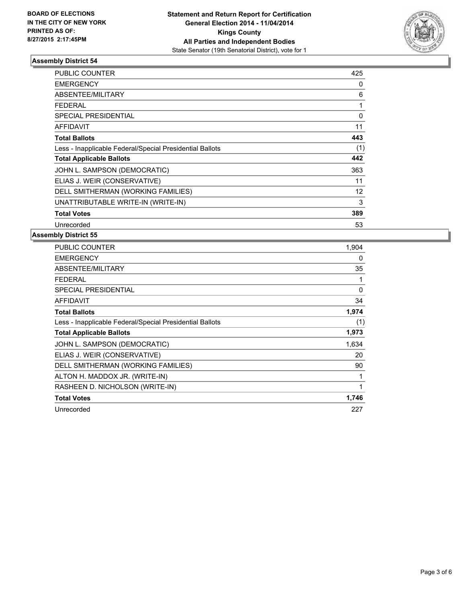

| <b>PUBLIC COUNTER</b>                                    | 425      |
|----------------------------------------------------------|----------|
| <b>EMERGENCY</b>                                         | 0        |
| ABSENTEE/MILITARY                                        | 6        |
| <b>FEDERAL</b>                                           |          |
| <b>SPECIAL PRESIDENTIAL</b>                              | $\Omega$ |
| <b>AFFIDAVIT</b>                                         | 11       |
| <b>Total Ballots</b>                                     | 443      |
| Less - Inapplicable Federal/Special Presidential Ballots | (1)      |
| <b>Total Applicable Ballots</b>                          | 442      |
| JOHN L. SAMPSON (DEMOCRATIC)                             | 363      |
| ELIAS J. WEIR (CONSERVATIVE)                             | 11       |
| DELL SMITHERMAN (WORKING FAMILIES)                       | 12       |
| UNATTRIBUTABLE WRITE-IN (WRITE-IN)                       | 3        |
| <b>Total Votes</b>                                       | 389      |
| Unrecorded                                               | 53       |

| <b>PUBLIC COUNTER</b>                                    | 1,904 |
|----------------------------------------------------------|-------|
| <b>EMERGENCY</b>                                         | 0     |
| ABSENTEE/MILITARY                                        | 35    |
| <b>FEDERAL</b>                                           |       |
| <b>SPECIAL PRESIDENTIAL</b>                              | 0     |
| AFFIDAVIT                                                | 34    |
| <b>Total Ballots</b>                                     | 1,974 |
| Less - Inapplicable Federal/Special Presidential Ballots | (1)   |
| <b>Total Applicable Ballots</b>                          | 1,973 |
| JOHN L. SAMPSON (DEMOCRATIC)                             | 1,634 |
| ELIAS J. WEIR (CONSERVATIVE)                             | 20    |
| DELL SMITHERMAN (WORKING FAMILIES)                       | 90    |
| ALTON H. MADDOX JR. (WRITE-IN)                           | 1     |
| RASHEEN D. NICHOLSON (WRITE-IN)                          | 1     |
| <b>Total Votes</b>                                       | 1,746 |
| Unrecorded                                               | 227   |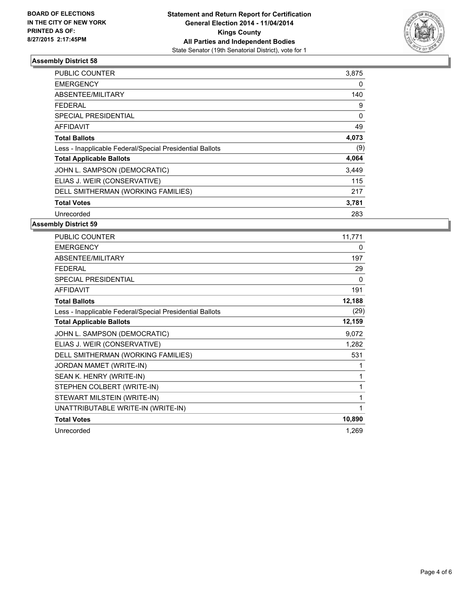

| PUBLIC COUNTER                                           | 3,875 |
|----------------------------------------------------------|-------|
| <b>EMERGENCY</b>                                         | 0     |
| ABSENTEE/MILITARY                                        | 140   |
| FEDERAL                                                  | 9     |
| <b>SPECIAL PRESIDENTIAL</b>                              | 0     |
| AFFIDAVIT                                                | 49    |
| <b>Total Ballots</b>                                     | 4,073 |
| Less - Inapplicable Federal/Special Presidential Ballots | (9)   |
| <b>Total Applicable Ballots</b>                          | 4,064 |
| JOHN L. SAMPSON (DEMOCRATIC)                             | 3,449 |
| ELIAS J. WEIR (CONSERVATIVE)                             | 115   |
| DELL SMITHERMAN (WORKING FAMILIES)                       | 217   |
| <b>Total Votes</b>                                       | 3,781 |
| Unrecorded                                               | 283   |

| <b>PUBLIC COUNTER</b>                                    | 11,771 |
|----------------------------------------------------------|--------|
| <b>EMERGENCY</b>                                         | 0      |
| ABSENTEE/MILITARY                                        | 197    |
| <b>FEDERAL</b>                                           | 29     |
| <b>SPECIAL PRESIDENTIAL</b>                              | 0      |
| <b>AFFIDAVIT</b>                                         | 191    |
| <b>Total Ballots</b>                                     | 12,188 |
| Less - Inapplicable Federal/Special Presidential Ballots | (29)   |
| <b>Total Applicable Ballots</b>                          | 12,159 |
| JOHN L. SAMPSON (DEMOCRATIC)                             | 9,072  |
| ELIAS J. WEIR (CONSERVATIVE)                             | 1,282  |
| DELL SMITHERMAN (WORKING FAMILIES)                       | 531    |
| JORDAN MAMET (WRITE-IN)                                  |        |
| SEAN K. HENRY (WRITE-IN)                                 | 1      |
| STEPHEN COLBERT (WRITE-IN)                               | 1      |
| STEWART MILSTEIN (WRITE-IN)                              | 1      |
| UNATTRIBUTABLE WRITE-IN (WRITE-IN)                       | 1      |
| <b>Total Votes</b>                                       | 10,890 |
| Unrecorded                                               | 1,269  |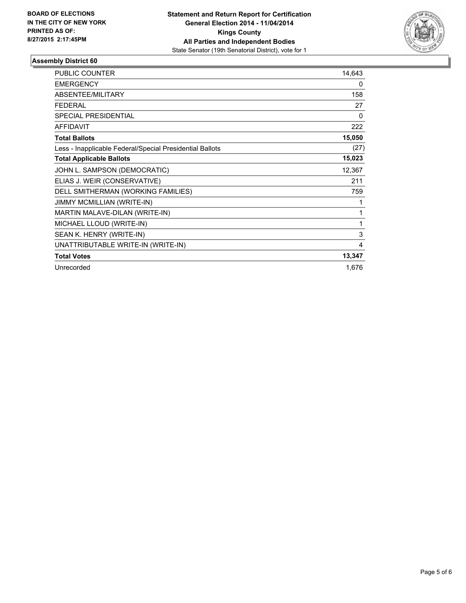

| <b>PUBLIC COUNTER</b>                                    | 14,643 |
|----------------------------------------------------------|--------|
| <b>EMERGENCY</b>                                         | 0      |
| <b>ABSENTEE/MILITARY</b>                                 | 158    |
| <b>FEDERAL</b>                                           | 27     |
| <b>SPECIAL PRESIDENTIAL</b>                              | 0      |
| <b>AFFIDAVIT</b>                                         | 222    |
| <b>Total Ballots</b>                                     | 15,050 |
| Less - Inapplicable Federal/Special Presidential Ballots | (27)   |
| <b>Total Applicable Ballots</b>                          | 15,023 |
| JOHN L. SAMPSON (DEMOCRATIC)                             | 12,367 |
| ELIAS J. WEIR (CONSERVATIVE)                             | 211    |
| DELL SMITHERMAN (WORKING FAMILIES)                       | 759    |
| JIMMY MCMILLIAN (WRITE-IN)                               |        |
| MARTIN MALAVE-DILAN (WRITE-IN)                           | 1      |
| MICHAEL LLOUD (WRITE-IN)                                 | 1      |
| SEAN K. HENRY (WRITE-IN)                                 | 3      |
| UNATTRIBUTABLE WRITE-IN (WRITE-IN)                       | 4      |
| <b>Total Votes</b>                                       | 13,347 |
| Unrecorded                                               | 1,676  |